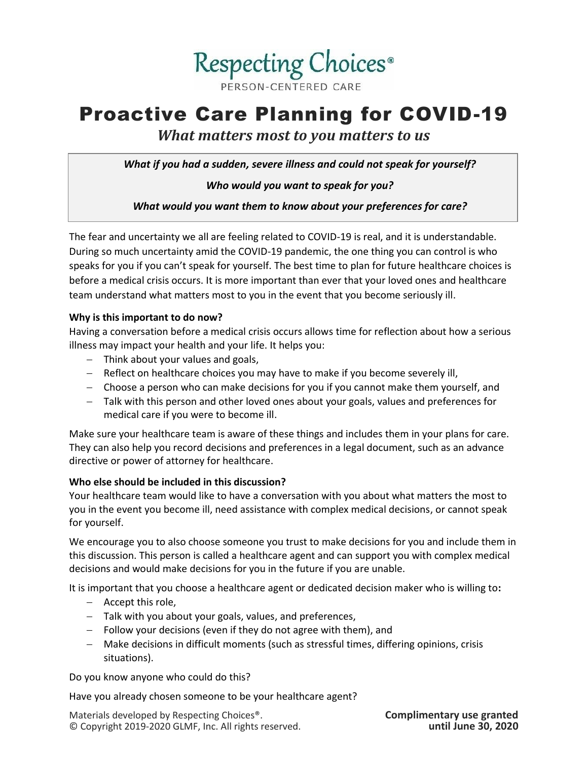

# Proactive Care Planning for COVID-19

*What matters most to you matters to us*

*What if you had a sudden, severe illness and could not speak for yourself?*

# *Who would you want to speak for you?*

*What would you want them to know about your preferences for care?*

The fear and uncertainty we all are feeling related to COVID-19 is real, and it is understandable. During so much uncertainty amid the COVID-19 pandemic, the one thing you can control is who speaks for you if you can't speak for yourself. The best time to plan for future healthcare choices is before a medical crisis occurs. It is more important than ever that your loved ones and healthcare team understand what matters most to you in the event that you become seriously ill.

## **Why is this important to do now?**

Having a conversation before a medical crisis occurs allows time for reflection about how a serious illness may impact your health and your life. It helps you:

- − Think about your values and goals,
- − Reflect on healthcare choices you may have to make if you become severely ill,
- − Choose a person who can make decisions for you if you cannot make them yourself, and
- − Talk with this person and other loved ones about your goals, values and preferences for medical care if you were to become ill.

Make sure your healthcare team is aware of these things and includes them in your plans for care. They can also help you record decisions and preferences in a legal document, such as an advance directive or power of attorney for healthcare.

## **Who else should be included in this discussion?**

Your healthcare team would like to have a conversation with you about what matters the most to you in the event you become ill, need assistance with complex medical decisions, or cannot speak for yourself.

We encourage you to also choose someone you trust to make decisions for you and include them in this discussion. This person is called a healthcare agent and can support you with complex medical decisions and would make decisions for you in the future if you are unable.

It is important that you choose a healthcare agent or dedicated decision maker who is willing to**:** 

- − Accept this role,
- − Talk with you about your goals, values, and preferences,
- − Follow your decisions (even if they do not agree with them), and
- − Make decisions in difficult moments (such as stressful times, differing opinions, crisis situations).

Do you know anyone who could do this?

Have you already chosen someone to be your healthcare agent?

Materials developed by Respecting Choices®. **Complimentary use granted** © Copyright 2019-2020 GLMF, Inc. All rights reserved.